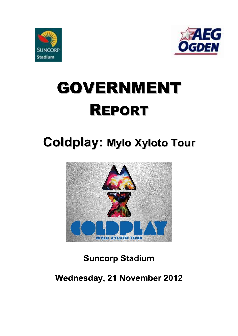



# GOVERNMENT REPORT

## **Coldplay: Mylo Xyloto Tour**



## **Suncorp Stadium**

### **Wednesday, 21 November 2012**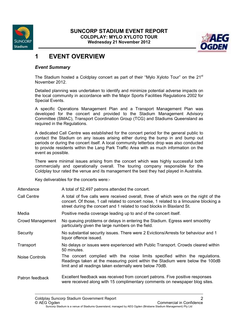



#### **1 EVENT OVERVIEW**

#### *Event Summary*

The Stadium hosted a Coldplay concert as part of their "Mylo Xyloto Tour" on the 21<sup>st</sup> November 2012.

Detailed planning was undertaken to identify and minimize potential adverse impacts on the local community in accordance with the Major Sports Facilities Regulations 2002 for Special Events.

A specific Operations Management Plan and a Transport Management Plan was developed for the concert and provided to the Stadium Management Advisory Committee (SMAC), Transport Coordination Group (TCG) and Stadiums Queensland as required in the Regulations.

A dedicated Call Centre was established for the concert period for the general public to contact the Stadium on any issues arising either during the bump in and bump out periods or during the concert itself. A local community letterbox drop was also conducted to provide residents within the Lang Park Traffic Area with as much information on the event as possible.

There were minimal issues arising from the concert which was highly successful both commercially and operationally overall. The touring company responsible for the Coldplay tour rated the venue and its management the best they had played in Australia.

Key deliverables for the concerts were:-

| Attendance | A total of 52,497 patrons attended the concert. |  |
|------------|-------------------------------------------------|--|
|            |                                                 |  |

- Call Centre A total of five calls were received overall, three of which were on the night of the concert. Of those, 1 call related to concert noise, 1 related to a limousine blocking a street during the concert and 1 related to road blocks in Blaxland St.
- Media Positive media coverage leading up to and of the concert itself.
- Crowd Management No queuing problems or delays in entering the Stadium. Egress went smoothly particularly given the large numbers on the field.
- Security No substantial security issues. There were 2 Evictions/Arrests for behaviour and 1 liquor offence issued.
- Transport No delays or issues were experienced with Public Transport. Crowds cleared within 50 minutes.
- Noise Controls The concert complied with the noise limits specified within the regulations. Readings taken at the measuring point within the Stadium were below the 100dB limit and all readings taken externally were below 70dB.
- Patron feedback Excellent feedback was received from concert patrons. Five positive responses were received along with 15 complimentary comments on newspaper blog sites.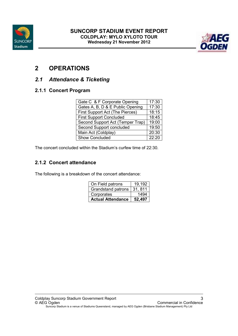



#### **2 OPERATIONS**

#### *2.1 Attendance & Ticketing*

#### **2.1.1 Concert Program**

| Gate C & F Corporate Opening     | 17:30 |
|----------------------------------|-------|
| Gates A, B, D & E Public Opening | 17:30 |
| First Support Act (The Pierces)  | 18:15 |
| <b>First Support Concluded</b>   | 18:45 |
| Second Support Act (Temper Trap) | 19:00 |
| Second Support concluded         | 19:50 |
| Main Act (Coldplay)              | 20:30 |
| <b>Show Concluded</b>            | 22:20 |

The concert concluded within the Stadium's curfew time of 22:30.

#### **2.1.2 Concert attendance**

The following is a breakdown of the concert attendance:

| On Field patrons         | $\overline{19.192}$ |
|--------------------------|---------------------|
| Grandstand patrons       | 31, 811             |
| Corporates               | 1494                |
| <b>Actual Attendance</b> | 52.497              |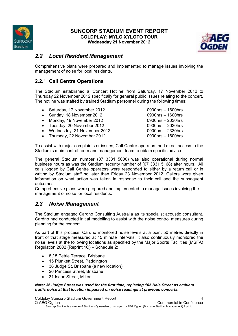

#### **SUNCORP STADIUM EVENT REPORT COLDPLAY: MYLO XYLOTO TOUR Wednesday 21 November 2012**



#### *2.2 Local Resident Management*

Comprehensive plans were prepared and implemented to manage issues involving the management of noise for local residents.

#### **2.2.1 Call Centre Operations**

The Stadium established a 'Concert Hotline' from Saturday, 17 November 2012 to Thursday 22 November 2012 specifically for general public issues relating to the concert. The hotline was staffed by trained Stadium personnel during the following times:

- Saturday, 17 November 2012 0900hrs 1600hrs
- Sunday, 18 November 2012 0900hrs 1600hrs
- Monday, 19 November 2012 0900hrs 2030hrs
- Tuesday, 20 November 2012 0900hrs 2030hrs
- Wednesday, 21 November 2012 0900hrs 2330hrs
- Thursday, 22 November 2012 0900hrs 1600hrs

To assist with major complaints or issues, Call Centre operators had direct access to the Stadium's main control room and management team to obtain specific advice.

The general Stadium number (07 3331 5000) was also operational during normal business hours as was the Stadium security number of (07 3331 5168) after hours. All calls logged by Call Centre operators were responded to either by a return call or in writing by Stadium staff no later than Friday 23 November 2012. Callers were given information on what action was taken in response to their call and the subsequent outcomes.

Comprehensive plans were prepared and implemented to manage issues involving the management of noise for local residents.

#### *2.3 Noise Management*

The Stadium engaged Cardno Consulting Australia as its specialist acoustic consultant. Cardno had conducted initial modelling to assist with the noise control measures during planning for the concert.

As part of this process, Cardno monitored noise levels at a point 50 metres directly in front of that stage measured at 15 minute intervals. It also continuously monitored the noise levels at the following locations as specified by the Major Sports Facilities (MSFA) Regulation 2002 (Reprint 1C) – Schedule 2:

- 8 / 5 Petrie Terrace, Brisbane
- 15 Plunkett Street, Paddington
- 36 Judge St, Brisbane (a new location)
- 26 Princess Street, Brisbane
- 31 Isaac Street, Milton

*Note: 36 Judge Street was used for the first time, replacing 105 Hale Street as ambient traffic noise at that location impacted on noise readings at previous concerts.*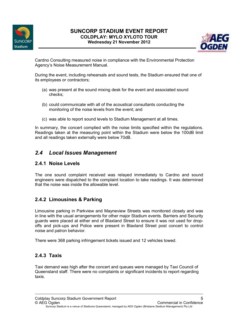



Cardno Consulting measured noise in compliance with the Environmental Protection Agency's Noise Measurement Manual.

During the event, including rehearsals and sound tests, the Stadium ensured that one of its employees or contractors;

- (a) was present at the sound mixing desk for the event and associated sound checks;
- (b) could communicate with all of the acoustical consultants conducting the monitoring of the noise levels from the event; and
- (c) was able to report sound levels to Stadium Management at all times.

In summary, the concert complied with the noise limits specified within the regulations. Readings taken at the measuring point within the Stadium were below the 100dB limit and all readings taken externally were below 70dB.

#### *2.4 Local Issues Management*

#### **2.4.1 Noise Levels**

The one sound complaint received was relayed immediately to Cardno and sound engineers were dispatched to the complaint location to take readings. It was determined that the noise was inside the allowable level.

#### **2.4.2 Limousines & Parking**

Limousine parking in Parkview and Mayneview Streets was monitored closely and was in line with the usual arrangements for other major Stadium events. Barriers and Security guards were placed at either end of Blaxland Street to ensure it was not used for dropoffs and pick-ups and Police were present in Blaxland Street post concert to control noise and patron behavior.

There were 368 parking infringement tickets issued and 12 vehicles towed.

#### **2.4.3 Taxis**

Taxi demand was high after the concert and queues were managed by Taxi Council of Queensland staff. There were no complaints or significant incidents to report regarding taxis.